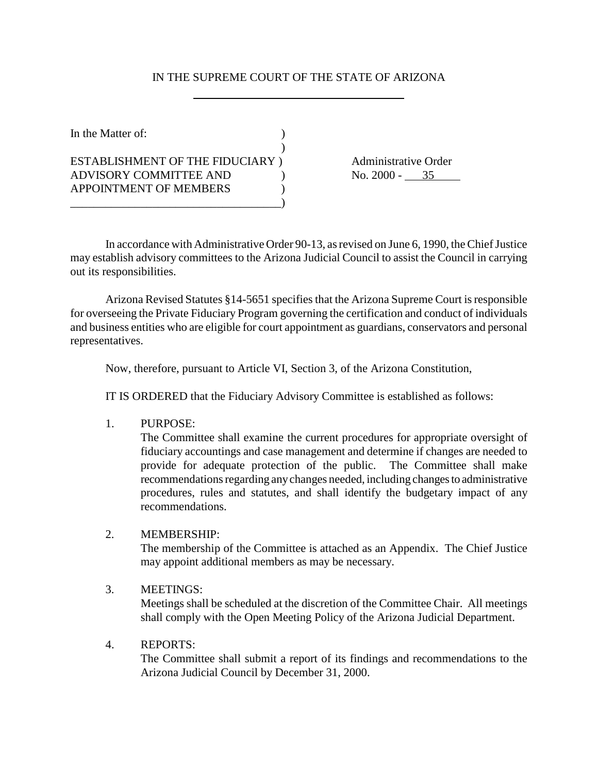## IN THE SUPREME COURT OF THE STATE OF ARIZONA

 $\lambda$ 

In the Matter of:  $\qquad \qquad$  ) ESTABLISHMENT OF THE FIDUCIARY ) Administrative Order ADVISORY COMMITTEE AND (No. 2000 - 35 APPOINTMENT OF MEMBERS  $\qquad \qquad$  )

\_\_\_\_\_\_\_\_\_\_\_\_\_\_\_\_\_\_\_\_\_\_\_\_\_\_\_\_\_\_\_\_\_\_\_\_)

In accordance with Administrative Order 90-13, as revised on June 6, 1990, the Chief Justice may establish advisory committees to the Arizona Judicial Council to assist the Council in carrying out its responsibilities.

Arizona Revised Statutes §14-5651 specifies that the Arizona Supreme Court is responsible for overseeing the Private Fiduciary Program governing the certification and conduct of individuals and business entities who are eligible for court appointment as guardians, conservators and personal representatives.

Now, therefore, pursuant to Article VI, Section 3, of the Arizona Constitution,

IT IS ORDERED that the Fiduciary Advisory Committee is established as follows:

1. PURPOSE:

The Committee shall examine the current procedures for appropriate oversight of fiduciary accountings and case management and determine if changes are needed to provide for adequate protection of the public. The Committee shall make recommendations regarding any changes needed, including changes to administrative procedures, rules and statutes, and shall identify the budgetary impact of any recommendations.

#### 2. MEMBERSHIP:

The membership of the Committee is attached as an Appendix. The Chief Justice may appoint additional members as may be necessary.

#### 3. MEETINGS:

Meetings shall be scheduled at the discretion of the Committee Chair. All meetings shall comply with the Open Meeting Policy of the Arizona Judicial Department.

#### 4. REPORTS:

The Committee shall submit a report of its findings and recommendations to the Arizona Judicial Council by December 31, 2000.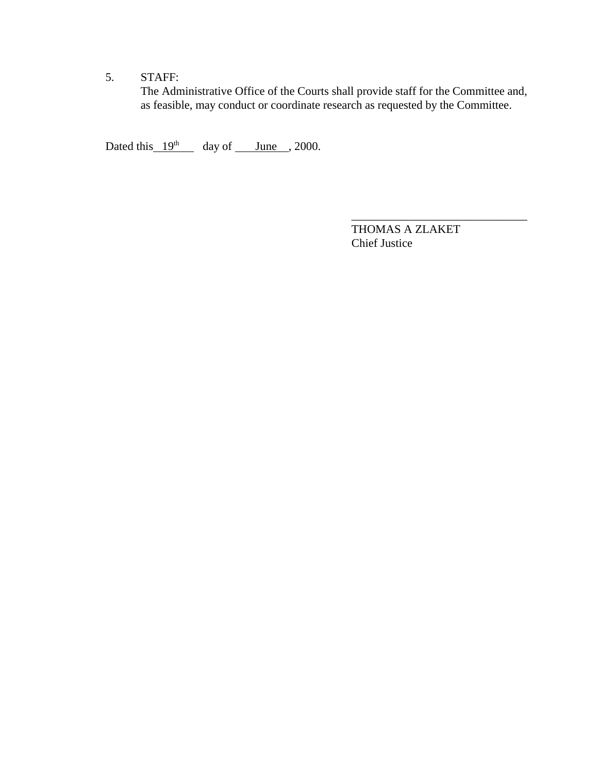# 5. STAFF:

The Administrative Office of the Courts shall provide staff for the Committee and, as feasible, may conduct or coordinate research as requested by the Committee.

Dated this  $19<sup>th</sup>$  day of June , 2000.

THOMAS A ZLAKET Chief Justice

\_\_\_\_\_\_\_\_\_\_\_\_\_\_\_\_\_\_\_\_\_\_\_\_\_\_\_\_\_\_